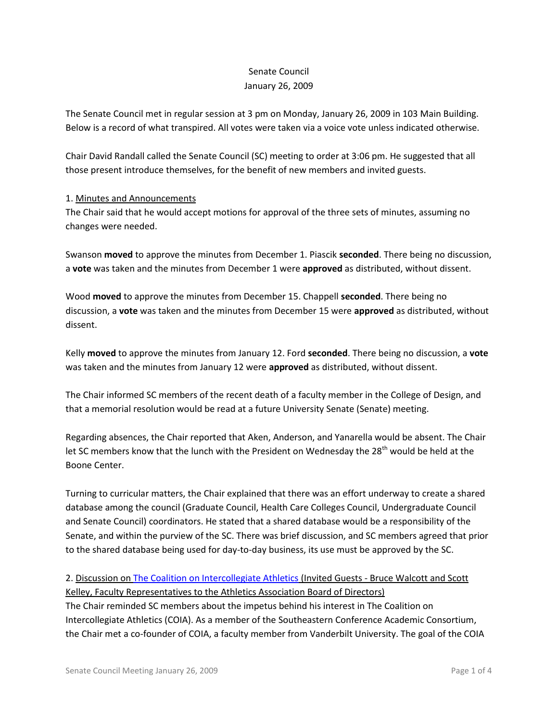## Senate Council January 26, 2009

The Senate Council met in regular session at 3 pm on Monday, January 26, 2009 in 103 Main Building. Below is a record of what transpired. All votes were taken via a voice vote unless indicated otherwise.

Chair David Randall called the Senate Council (SC) meeting to order at 3:06 pm. He suggested that all those present introduce themselves, for the benefit of new members and invited guests.

## 1. Minutes and Announcements

The Chair said that he would accept motions for approval of the three sets of minutes, assuming no changes were needed.

Swanson **moved** to approve the minutes from December 1. Piascik **seconded**. There being no discussion, a **vote** was taken and the minutes from December 1 were **approved** as distributed, without dissent.

Wood **moved** to approve the minutes from December 15. Chappell **seconded**. There being no discussion, a **vote** was taken and the minutes from December 15 were **approved** as distributed, without dissent.

Kelly **moved** to approve the minutes from January 12. Ford **seconded**. There being no discussion, a **vote** was taken and the minutes from January 12 were **approved** as distributed, without dissent.

The Chair informed SC members of the recent death of a faculty member in the College of Design, and that a memorial resolution would be read at a future University Senate (Senate) meeting.

Regarding absences, the Chair reported that Aken, Anderson, and Yanarella would be absent. The Chair let SC members know that the lunch with the President on Wednesday the 28<sup>th</sup> would be held at the Boone Center.

Turning to curricular matters, the Chair explained that there was an effort underway to create a shared database among the council (Graduate Council, Health Care Colleges Council, Undergraduate Council and Senate Council) coordinators. He stated that a shared database would be a responsibility of the Senate, and within the purview of the SC. There was brief discussion, and SC members agreed that prior to the shared database being used for day-to-day business, its use must be approved by the SC.

2. Discussion on [The Coalition on Intercollegiate Athletics](http://www.neuro.uoregon.edu/~tublitz/COIA/index.html) (Invited Guests - Bruce Walcott and Scott Kelley, Faculty Representatives to the Athletics Association Board of Directors) The Chair reminded SC members about the impetus behind his interest in The Coalition on Intercollegiate Athletics (COIA). As a member of the Southeastern Conference Academic Consortium, the Chair met a co-founder of COIA, a faculty member from Vanderbilt University. The goal of the COIA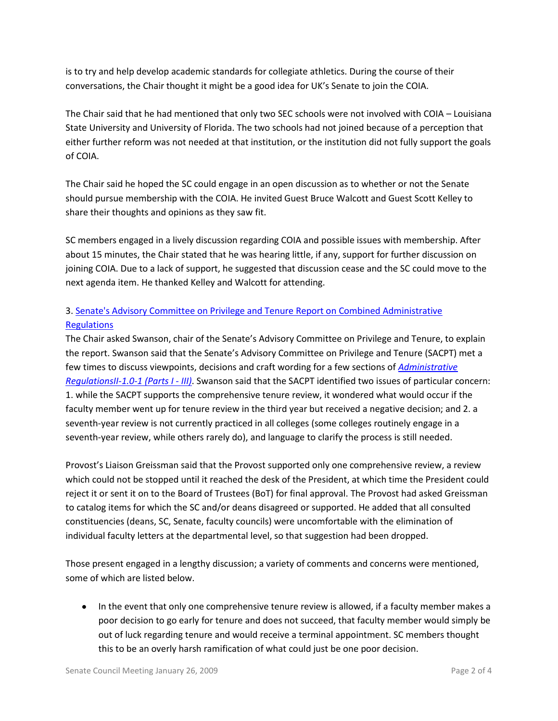is to try and help develop academic standards for collegiate athletics. During the course of their conversations, the Chair thought it might be a good idea for UK's Senate to join the COIA.

The Chair said that he had mentioned that only two SEC schools were not involved with COIA – Louisiana State University and University of Florida. The two schools had not joined because of a perception that either further reform was not needed at that institution, or the institution did not fully support the goals of COIA.

The Chair said he hoped the SC could engage in an open discussion as to whether or not the Senate should pursue membership with the COIA. He invited Guest Bruce Walcott and Guest Scott Kelley to share their thoughts and opinions as they saw fit.

SC members engaged in a lively discussion regarding COIA and possible issues with membership. After about 15 minutes, the Chair stated that he was hearing little, if any, support for further discussion on joining COIA. Due to a lack of support, he suggested that discussion cease and the SC could move to the next agenda item. He thanked Kelley and Walcott for attending.

## 3. [Senate's Advisory Committee on Privilege and Tenure Report on Combined Administrative](http://www.uky.edu/USC/New/files/Letter_to_Randallfinal%20SACPT%20Rpt%20Vers%20A-B_Complete.pdf)  **[Regulations](http://www.uky.edu/USC/New/files/Letter_to_Randallfinal%20SACPT%20Rpt%20Vers%20A-B_Complete.pdf)**

The Chair asked Swanson, chair of the Senate's Advisory Committee on Privilege and Tenure, to explain the report. Swanson said that the Senate's Advisory Committee on Privilege and Tenure (SACPT) met a few times to discuss viewpoints, decisions and craft wording for a few sections of *[Administrative](http://www.uky.edu/USC/New/files/AR%20II-1%20dot%200-1%20-%20Parts%20I-III%20_Version%20B_.pdf)  [RegulationsII-1.0-1 \(Parts I -](http://www.uky.edu/USC/New/files/AR%20II-1%20dot%200-1%20-%20Parts%20I-III%20_Version%20B_.pdf) III)*. Swanson said that the SACPT identified two issues of particular concern: 1. while the SACPT supports the comprehensive tenure review, it wondered what would occur if the faculty member went up for tenure review in the third year but received a negative decision; and 2. a seventh-year review is not currently practiced in all colleges (some colleges routinely engage in a seventh-year review, while others rarely do), and language to clarify the process is still needed.

Provost's Liaison Greissman said that the Provost supported only one comprehensive review, a review which could not be stopped until it reached the desk of the President, at which time the President could reject it or sent it on to the Board of Trustees (BoT) for final approval. The Provost had asked Greissman to catalog items for which the SC and/or deans disagreed or supported. He added that all consulted constituencies (deans, SC, Senate, faculty councils) were uncomfortable with the elimination of individual faculty letters at the departmental level, so that suggestion had been dropped.

Those present engaged in a lengthy discussion; a variety of comments and concerns were mentioned, some of which are listed below.

• In the event that only one comprehensive tenure review is allowed, if a faculty member makes a poor decision to go early for tenure and does not succeed, that faculty member would simply be out of luck regarding tenure and would receive a terminal appointment. SC members thought this to be an overly harsh ramification of what could just be one poor decision.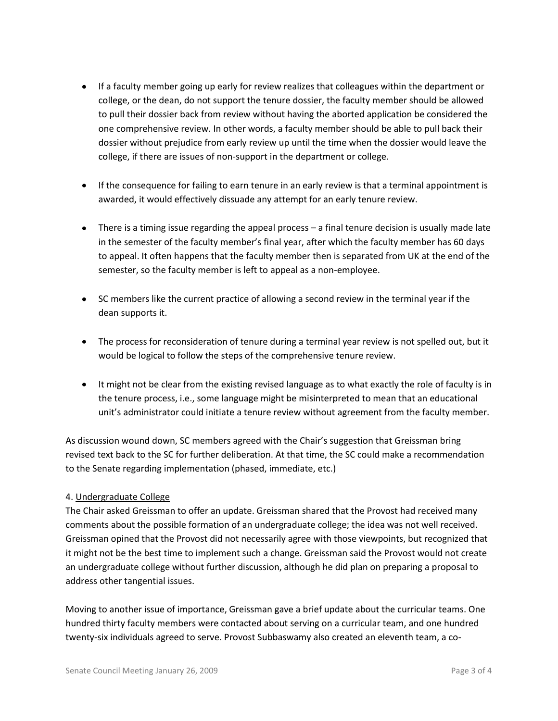- If a faculty member going up early for review realizes that colleagues within the department or college, or the dean, do not support the tenure dossier, the faculty member should be allowed to pull their dossier back from review without having the aborted application be considered the one comprehensive review. In other words, a faculty member should be able to pull back their dossier without prejudice from early review up until the time when the dossier would leave the college, if there are issues of non-support in the department or college.
- If the consequence for failing to earn tenure in an early review is that a terminal appointment is awarded, it would effectively dissuade any attempt for an early tenure review.
- There is a timing issue regarding the appeal process a final tenure decision is usually made late in the semester of the faculty member's final year, after which the faculty member has 60 days to appeal. It often happens that the faculty member then is separated from UK at the end of the semester, so the faculty member is left to appeal as a non-employee.
- SC members like the current practice of allowing a second review in the terminal year if the dean supports it.
- The process for reconsideration of tenure during a terminal year review is not spelled out, but it would be logical to follow the steps of the comprehensive tenure review.
- It might not be clear from the existing revised language as to what exactly the role of faculty is in the tenure process, i.e., some language might be misinterpreted to mean that an educational unit's administrator could initiate a tenure review without agreement from the faculty member.

As discussion wound down, SC members agreed with the Chair's suggestion that Greissman bring revised text back to the SC for further deliberation. At that time, the SC could make a recommendation to the Senate regarding implementation (phased, immediate, etc.)

## 4. Undergraduate College

The Chair asked Greissman to offer an update. Greissman shared that the Provost had received many comments about the possible formation of an undergraduate college; the idea was not well received. Greissman opined that the Provost did not necessarily agree with those viewpoints, but recognized that it might not be the best time to implement such a change. Greissman said the Provost would not create an undergraduate college without further discussion, although he did plan on preparing a proposal to address other tangential issues.

Moving to another issue of importance, Greissman gave a brief update about the curricular teams. One hundred thirty faculty members were contacted about serving on a curricular team, and one hundred twenty-six individuals agreed to serve. Provost Subbaswamy also created an eleventh team, a co